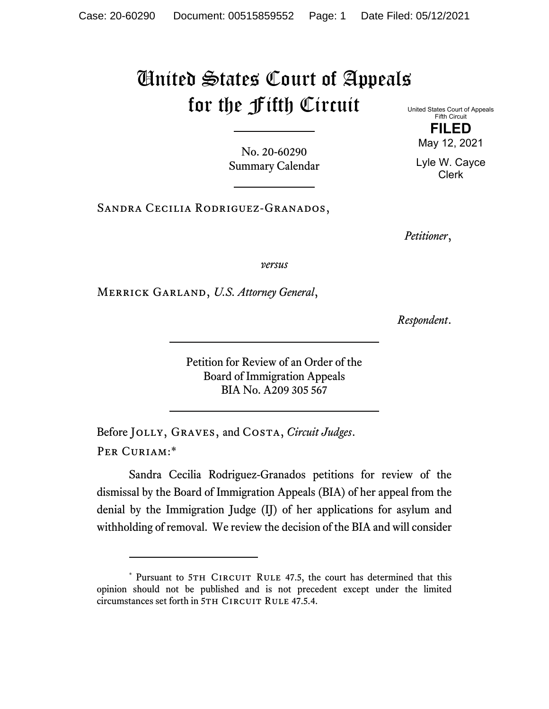## United States Court of Appeals for the Fifth Circuit United States Court of Appeals

No. 20-60290 Summary Calendar

Sandra Cecilia Rodriguez-Granados,

*Petitioner*,

*versus*

Merrick Garland, *U.S. Attorney General*,

*Respondent*.

Petition for Review of an Order of the Board of Immigration Appeals BIA No. A209 305 567

Before Jolly, Graves, and Costa, *Circuit Judges*. Per Curiam:\*

Sandra Cecilia Rodriguez-Granados petitions for review of the dismissal by the Board of Immigration Appeals (BIA) of her appeal from the denial by the Immigration Judge (IJ) of her applications for asylum and withholding of removal. We review the decision of the BIA and will consider

Fifth Circuit **FILED**  May 12, 2021

Lyle W. Cayce Clerk

<sup>\*</sup> Pursuant to 5TH CIRCUIT RULE 47.5, the court has determined that this opinion should not be published and is not precedent except under the limited circumstances set forth in 5TH CIRCUIT RULE 47.5.4.